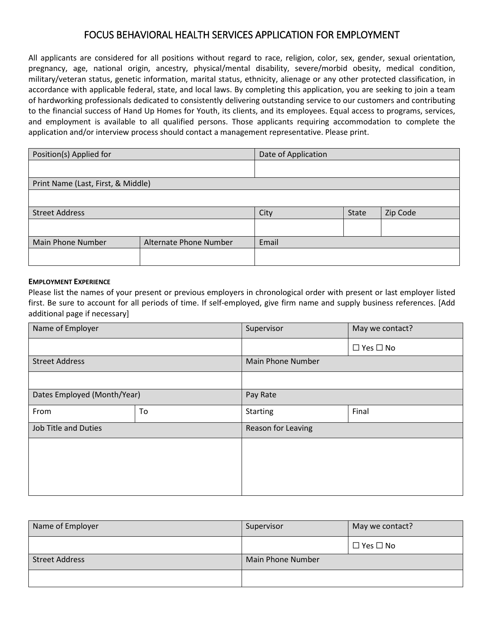# FOCUS BEHAVIORAL HEALTH SERVICES APPLICATION FOR EMPLOYMENT

All applicants are considered for all positions without regard to race, religion, color, sex, gender, sexual orientation, pregnancy, age, national origin, ancestry, physical/mental disability, severe/morbid obesity, medical condition, military/veteran status, genetic information, marital status, ethnicity, alienage or any other protected classification, in accordance with applicable federal, state, and local laws. By completing this application, you are seeking to join a team of hardworking professionals dedicated to consistently delivering outstanding service to our customers and contributing to the financial success of Hand Up Homes for Youth, its clients, and its employees. Equal access to programs, services, and employment is available to all qualified persons. Those applicants requiring accommodation to complete the application and/or interview process should contact a management representative. Please print.

| Position(s) Applied for                            |  | Date of Application |       |          |
|----------------------------------------------------|--|---------------------|-------|----------|
|                                                    |  |                     |       |          |
| Print Name (Last, First, & Middle)                 |  |                     |       |          |
|                                                    |  |                     |       |          |
| <b>Street Address</b>                              |  | City                | State | Zip Code |
|                                                    |  |                     |       |          |
| <b>Main Phone Number</b><br>Alternate Phone Number |  | Email               |       |          |
|                                                    |  |                     |       |          |

#### **EMPLOYMENT EXPERIENCE**

Please list the names of your present or previous employers in chronological order with present or last employer listed first. Be sure to account for all periods of time. If self-employed, give firm name and supply business references. [Add additional page if necessary]

| Name of Employer            |    | Supervisor         | May we contact?      |
|-----------------------------|----|--------------------|----------------------|
|                             |    |                    | $\Box$ Yes $\Box$ No |
| <b>Street Address</b>       |    | Main Phone Number  |                      |
|                             |    |                    |                      |
| Dates Employed (Month/Year) |    | Pay Rate           |                      |
| From                        | To | <b>Starting</b>    | Final                |
| <b>Job Title and Duties</b> |    | Reason for Leaving |                      |
|                             |    |                    |                      |
|                             |    |                    |                      |
|                             |    |                    |                      |
|                             |    |                    |                      |

| Name of Employer      | Supervisor        | May we contact?      |
|-----------------------|-------------------|----------------------|
|                       |                   | $\Box$ Yes $\Box$ No |
| <b>Street Address</b> | Main Phone Number |                      |
|                       |                   |                      |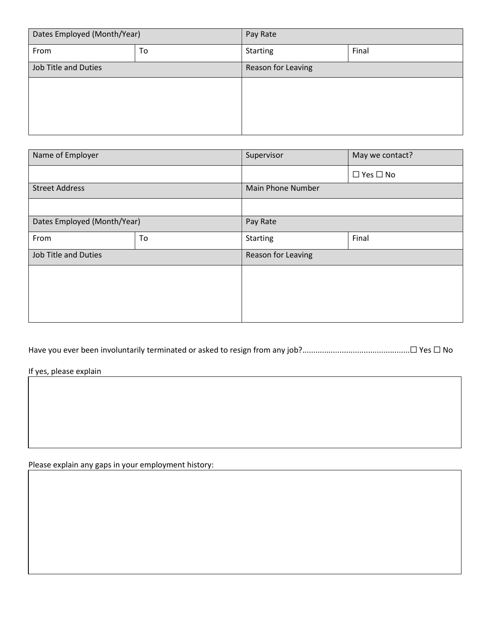| Dates Employed (Month/Year) |    | Pay Rate           |       |
|-----------------------------|----|--------------------|-------|
| From                        | To | Starting           | Final |
| Job Title and Duties        |    | Reason for Leaving |       |
|                             |    |                    |       |
|                             |    |                    |       |
|                             |    |                    |       |
|                             |    |                    |       |

| Name of Employer            |    | Supervisor         | May we contact?      |  |
|-----------------------------|----|--------------------|----------------------|--|
|                             |    |                    | $\Box$ Yes $\Box$ No |  |
| <b>Street Address</b>       |    | Main Phone Number  |                      |  |
|                             |    |                    |                      |  |
| Dates Employed (Month/Year) |    | Pay Rate           |                      |  |
| From                        | To | <b>Starting</b>    | Final                |  |
| <b>Job Title and Duties</b> |    | Reason for Leaving |                      |  |
|                             |    |                    |                      |  |
|                             |    |                    |                      |  |
|                             |    |                    |                      |  |
|                             |    |                    |                      |  |

Have you ever been involuntarily terminated or asked to resign from any job?.................................................☐ Yes ☐ No

If yes, please explain

Please explain any gaps in your employment history: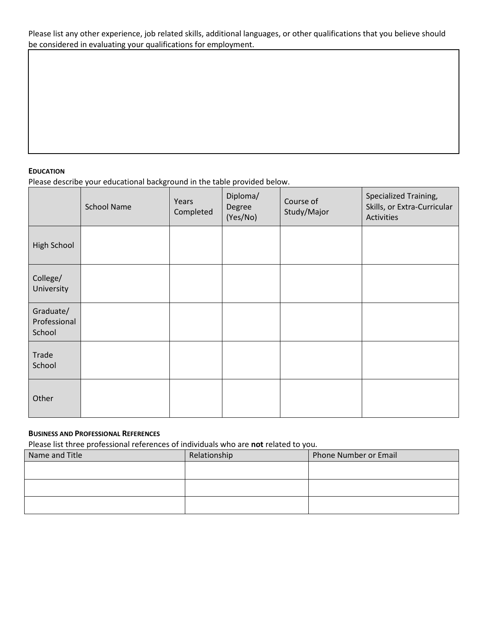Please list any other experience, job related skills, additional languages, or other qualifications that you believe should be considered in evaluating your qualifications for employment.

### **EDUCATION**

Please describe your educational background in the table provided below.

|                                     | <b>School Name</b> | Years<br>Completed | Diploma/<br>Degree<br>(Yes/No) | Course of<br>Study/Major | Specialized Training,<br>Skills, or Extra-Curricular<br>Activities |
|-------------------------------------|--------------------|--------------------|--------------------------------|--------------------------|--------------------------------------------------------------------|
| High School                         |                    |                    |                                |                          |                                                                    |
| College/<br>University              |                    |                    |                                |                          |                                                                    |
| Graduate/<br>Professional<br>School |                    |                    |                                |                          |                                                                    |
| Trade<br>School                     |                    |                    |                                |                          |                                                                    |
| Other                               |                    |                    |                                |                          |                                                                    |

## **BUSINESS AND PROFESSIONAL REFERENCES**

Please list three professional references of individuals who are **not** related to you.

| Relationship | Phone Number or Email |
|--------------|-----------------------|
|              |                       |
|              |                       |
|              |                       |
|              |                       |
|              |                       |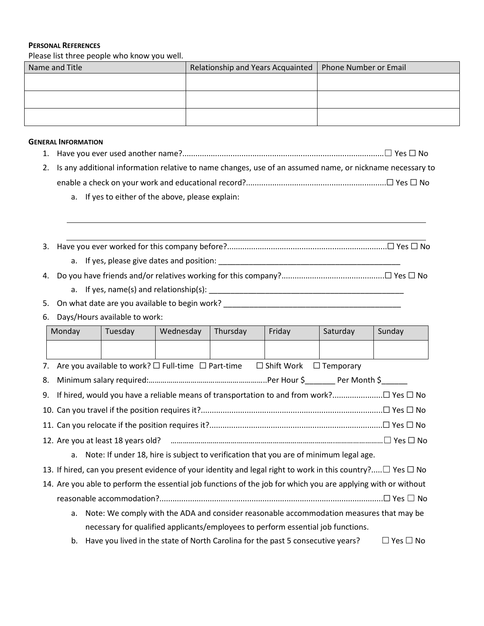#### **PERSONAL REFERENCES**

Please list three people who know you well.

| Name and Title | Relationship and Years Acquainted   Phone Number or Email |  |
|----------------|-----------------------------------------------------------|--|
|                |                                                           |  |
|                |                                                           |  |
|                |                                                           |  |
|                |                                                           |  |
|                |                                                           |  |

#### **GENERAL INFORMATION**

- 1. Have you ever used another name?............................................................................................☐ Yes ☐ No
- 2. Is any additional information relative to name changes, use of an assumed name, or nickname necessary to enable a check on your work and educational record?................................................................☐ Yes ☐ No
	- a. If yes to either of the above, please explain:
- 3. Have you ever worked for this company before?.........................................................................☐ Yes ☐ No a. If yes, please give dates and position: \_\_\_\_\_\_\_\_\_\_\_\_\_\_\_\_\_\_\_\_\_\_\_\_\_\_\_\_\_\_\_\_\_\_\_\_\_\_\_\_\_\_

4. Do you have friends and/or relatives working for this company?...............................................☐ Yes ☐ No

a. If yes, name(s) and relationship(s): \_\_\_\_\_\_\_\_\_\_\_\_\_\_\_\_\_\_\_\_\_\_\_\_\_\_\_\_\_\_\_\_\_\_\_\_\_\_\_\_\_\_\_\_\_

5. On what date are you available to begin work? \_\_\_\_\_\_\_\_\_\_\_\_\_\_\_\_\_\_\_\_\_\_\_\_\_\_\_\_\_\_\_

6. Days/Hours available to work:

|    | Monday      | Tuesday                                                                                                               | Wednesday | Thursday | Friday               | Saturday         | Sunday               |
|----|-------------|-----------------------------------------------------------------------------------------------------------------------|-----------|----------|----------------------|------------------|----------------------|
|    |             |                                                                                                                       |           |          |                      |                  |                      |
|    |             | 7. Are you available to work? $\Box$ Full-time $\Box$ Part-time                                                       |           |          | $\square$ Shift Work | $\Box$ Temporary |                      |
| 8. |             |                                                                                                                       |           |          |                      |                  |                      |
| 9. |             |                                                                                                                       |           |          |                      |                  |                      |
|    |             |                                                                                                                       |           |          |                      |                  |                      |
|    |             |                                                                                                                       |           |          |                      |                  |                      |
|    |             |                                                                                                                       |           |          |                      |                  |                      |
|    | $a_{\cdot}$ | Note: If under 18, hire is subject to verification that you are of minimum legal age.                                 |           |          |                      |                  |                      |
|    |             | 13. If hired, can you present evidence of your identity and legal right to work in this country? $\Box$ Yes $\Box$ No |           |          |                      |                  |                      |
|    |             | 14. Are you able to perform the essential job functions of the job for which you are applying with or without         |           |          |                      |                  |                      |
|    |             |                                                                                                                       |           |          |                      |                  |                      |
|    | a.          | Note: We comply with the ADA and consider reasonable accommodation measures that may be                               |           |          |                      |                  |                      |
|    |             | necessary for qualified applicants/employees to perform essential job functions.                                      |           |          |                      |                  |                      |
|    | b.          | Have you lived in the state of North Carolina for the past 5 consecutive years?                                       |           |          |                      |                  | $\Box$ Yes $\Box$ No |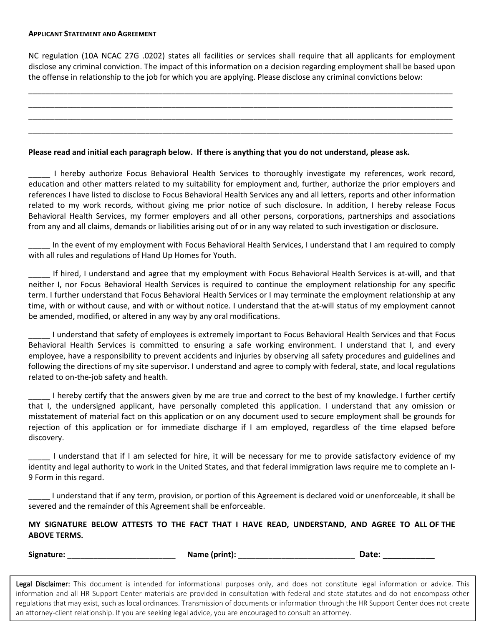#### **APPLICANT STATEMENT AND AGREEMENT**

NC regulation (10A NCAC 27G .0202) states all facilities or services shall require that all applicants for employment disclose any criminal conviction. The impact of this information on a decision regarding employment shall be based upon the offense in relationship to the job for which you are applying. Please disclose any criminal convictions below:

\_\_\_\_\_\_\_\_\_\_\_\_\_\_\_\_\_\_\_\_\_\_\_\_\_\_\_\_\_\_\_\_\_\_\_\_\_\_\_\_\_\_\_\_\_\_\_\_\_\_\_\_\_\_\_\_\_\_\_\_\_\_\_\_\_\_\_\_\_\_\_\_\_\_\_\_\_\_\_\_\_\_\_\_\_\_\_\_\_\_\_\_\_\_\_\_\_\_ \_\_\_\_\_\_\_\_\_\_\_\_\_\_\_\_\_\_\_\_\_\_\_\_\_\_\_\_\_\_\_\_\_\_\_\_\_\_\_\_\_\_\_\_\_\_\_\_\_\_\_\_\_\_\_\_\_\_\_\_\_\_\_\_\_\_\_\_\_\_\_\_\_\_\_\_\_\_\_\_\_\_\_\_\_\_\_\_\_\_\_\_\_\_\_\_\_\_ \_\_\_\_\_\_\_\_\_\_\_\_\_\_\_\_\_\_\_\_\_\_\_\_\_\_\_\_\_\_\_\_\_\_\_\_\_\_\_\_\_\_\_\_\_\_\_\_\_\_\_\_\_\_\_\_\_\_\_\_\_\_\_\_\_\_\_\_\_\_\_\_\_\_\_\_\_\_\_\_\_\_\_\_\_\_\_\_\_\_\_\_\_\_\_\_\_\_ \_\_\_\_\_\_\_\_\_\_\_\_\_\_\_\_\_\_\_\_\_\_\_\_\_\_\_\_\_\_\_\_\_\_\_\_\_\_\_\_\_\_\_\_\_\_\_\_\_\_\_\_\_\_\_\_\_\_\_\_\_\_\_\_\_\_\_\_\_\_\_\_\_\_\_\_\_\_\_\_\_\_\_\_\_\_\_\_\_\_\_\_\_\_\_\_\_\_

#### **Please read and initial each paragraph below. If there is anything that you do not understand, please ask.**

\_\_\_\_\_ I hereby authorize Focus Behavioral Health Services to thoroughly investigate my references, work record, education and other matters related to my suitability for employment and, further, authorize the prior employers and references I have listed to disclose to Focus Behavioral Health Services any and all letters, reports and other information related to my work records, without giving me prior notice of such disclosure. In addition, I hereby release Focus Behavioral Health Services, my former employers and all other persons, corporations, partnerships and associations from any and all claims, demands or liabilities arising out of or in any way related to such investigation or disclosure.

In the event of my employment with Focus Behavioral Health Services, I understand that I am required to comply with all rules and regulations of Hand Up Homes for Youth.

If hired, I understand and agree that my employment with Focus Behavioral Health Services is at-will, and that neither I, nor Focus Behavioral Health Services is required to continue the employment relationship for any specific term. I further understand that Focus Behavioral Health Services or I may terminate the employment relationship at any time, with or without cause, and with or without notice. I understand that the at-will status of my employment cannot be amended, modified, or altered in any way by any oral modifications.

\_\_\_\_\_ I understand that safety of employees is extremely important to Focus Behavioral Health Services and that Focus Behavioral Health Services is committed to ensuring a safe working environment. I understand that I, and every employee, have a responsibility to prevent accidents and injuries by observing all safety procedures and guidelines and following the directions of my site supervisor. I understand and agree to comply with federal, state, and local regulations related to on-the-job safety and health.

I hereby certify that the answers given by me are true and correct to the best of my knowledge. I further certify that I, the undersigned applicant, have personally completed this application. I understand that any omission or misstatement of material fact on this application or on any document used to secure employment shall be grounds for rejection of this application or for immediate discharge if I am employed, regardless of the time elapsed before discovery.

I understand that if I am selected for hire, it will be necessary for me to provide satisfactory evidence of my identity and legal authority to work in the United States, and that federal immigration laws require me to complete an I-9 Form in this regard.

\_\_\_\_\_ I understand that if any term, provision, or portion of this Agreement is declared void or unenforceable, it shall be severed and the remainder of this Agreement shall be enforceable.

**MY SIGNATURE BELOW ATTESTS TO THE FACT THAT I HAVE READ, UNDERSTAND, AND AGREE TO ALL OF THE ABOVE TERMS.**

| Signature<br>. . | Name (print):<br> | י ^ate<br> |
|------------------|-------------------|------------|
|------------------|-------------------|------------|

Legal Disclaimer: This document is intended for informational purposes only, and does not constitute legal information or advice. This information and all HR Support Center materials are provided in consultation with federal and state statutes and do not encompass other regulations that may exist, such as local ordinances. Transmission of documents or information through the HR Support Center does not create an attorney-client relationship. If you are seeking legal advice, you are encouraged to consult an attorney.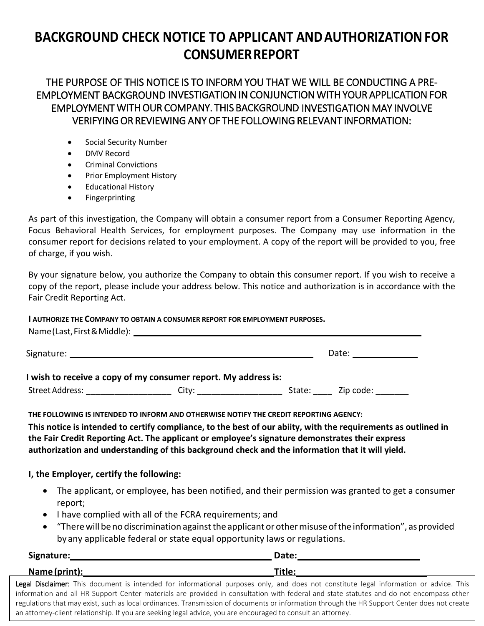# **BACKGROUND CHECK NOTICE TO APPLICANT ANDAUTHORIZATIONFOR CONSUMERREPORT**

THE PURPOSE OF THIS NOTICE IS TO INFORM YOU THAT WE WILL BE CONDUCTING A PRE-EMPLOYMENT BACKGROUND INVESTIGATION IN CONJUNCTION WITH YOUR APPLICATION FOR EMPLOYMENT WITH OUR COMPANY. THIS BACKGROUND INVESTIGATION MAY INVOLVE VERIFYING OR REVIEWING ANY OF THE FOLLOWING RELEVANT INFORMATION:

- Social Security Number
- DMV Record
- Criminal Convictions
- Prior Employment History
- Educational History
- Fingerprinting

As part of this investigation, the Company will obtain a consumer report from a Consumer Reporting Agency, Focus Behavioral Health Services, for employment purposes. The Company may use information in the consumer report for decisions related to your employment. A copy of the report will be provided to you, free of charge, if you wish.

By your signature below, you authorize the Company to obtain this consumer report. If you wish to receive a copy of the report, please include your address below. This notice and authorization is in accordance with the Fair Credit Reporting Act.

**I AUTHORIZE THE COMPANY TO OBTAIN A CONSUMER REPORT FOR EMPLOYMENT PURPOSES.**

|                                                                | Date: _______________                                                                 |
|----------------------------------------------------------------|---------------------------------------------------------------------------------------|
| I wish to receive a copy of my consumer report. My address is: |                                                                                       |
|                                                                | Street Address: The City: City: City: State: Zip code:                                |
|                                                                | THE FOLLOWING IS INTENDED TO INFORM AND OTHERWISE NOTIFY THE CREDIT REPORTING AGENCY: |

**This notice is intended to certify compliance, to the best of our abiity, with the requirements as outlined in the Fair Credit Reporting Act. The applicant or employee's signature demonstrates their express authorization and understanding of this background check and the information that it will yield.** 

# **I, the Employer, certify the following:**

- The applicant, or employee, has been notified, and their permission was granted to get a consumer report;
- I have complied with all of the FCRA requirements; and
- "Therewill beno discrimination againstthe applicant or othermisuse ofthe information", asprovided by any applicable federal or state equal opportunity laws or regulations.

| Signature:    | Date:  |
|---------------|--------|
| Name (print): | Title: |

Legal Disclaimer: This document is intended for informational purposes only, and does not constitute legal information or advice. This information and all HR Support Center materials are provided in consultation with federal and state statutes and do not encompass other regulations that may exist, such as local ordinances. Transmission of documents or information through the HR Support Center does not create an attorney-client relationship. If you are seeking legal advice, you are encouraged to consult an attorney.